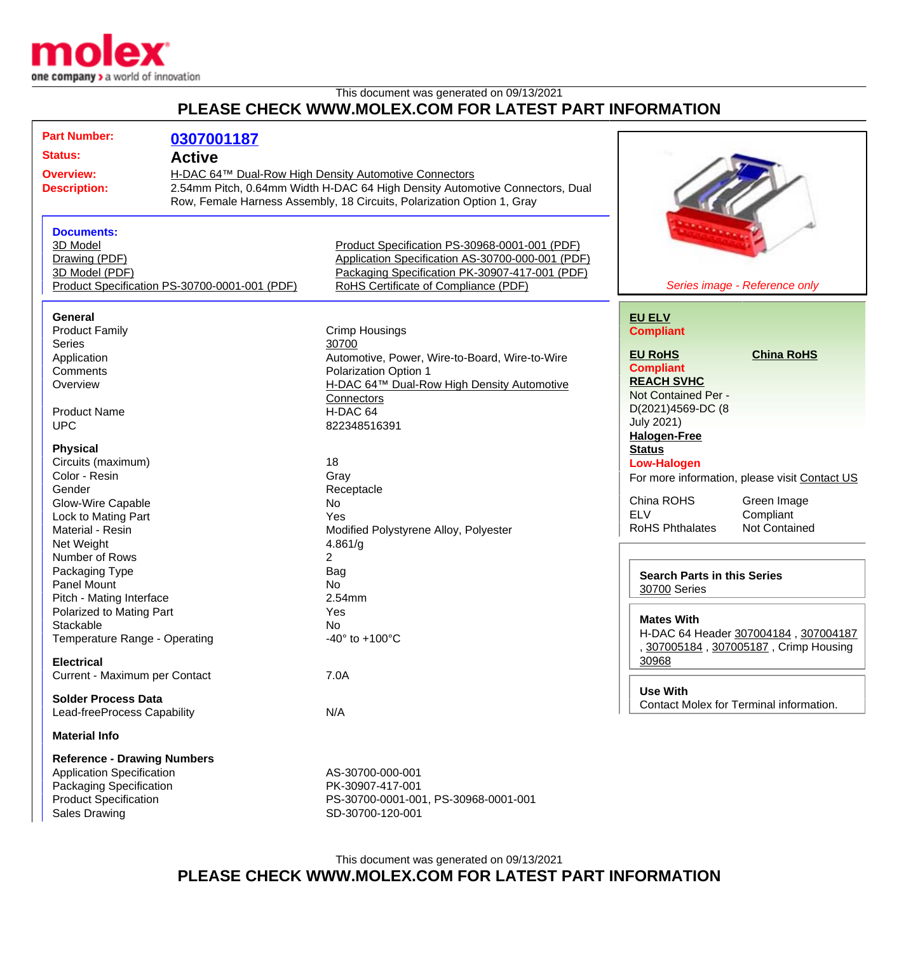

## This document was generated on 09/13/2021 **PLEASE CHECK WWW.MOLEX.COM FOR LATEST PART INFORMATION**

| <b>Part Number:</b>                | 0307001187                                    |                                                                              |                                    |                                               |
|------------------------------------|-----------------------------------------------|------------------------------------------------------------------------------|------------------------------------|-----------------------------------------------|
| <b>Status:</b>                     | <b>Active</b>                                 |                                                                              |                                    |                                               |
|                                    |                                               |                                                                              |                                    |                                               |
| <b>Overview:</b>                   |                                               | H-DAC 64™ Dual-Row High Density Automotive Connectors                        |                                    |                                               |
| <b>Description:</b>                |                                               | 2.54mm Pitch, 0.64mm Width H-DAC 64 High Density Automotive Connectors, Dual |                                    |                                               |
|                                    |                                               | Row, Female Harness Assembly, 18 Circuits, Polarization Option 1, Gray       |                                    |                                               |
|                                    |                                               |                                                                              |                                    |                                               |
| <b>Documents:</b>                  |                                               |                                                                              |                                    |                                               |
| 3D Model                           |                                               | Product Specification PS-30968-0001-001 (PDF)                                |                                    |                                               |
| Drawing (PDF)                      |                                               | Application Specification AS-30700-000-001 (PDF)                             |                                    |                                               |
|                                    |                                               |                                                                              |                                    |                                               |
| 3D Model (PDF)                     |                                               | Packaging Specification PK-30907-417-001 (PDF)                               |                                    |                                               |
|                                    | Product Specification PS-30700-0001-001 (PDF) | RoHS Certificate of Compliance (PDF)                                         |                                    | Series image - Reference only                 |
| <b>General</b>                     |                                               |                                                                              | <b>EU ELV</b>                      |                                               |
| <b>Product Family</b>              |                                               | <b>Crimp Housings</b>                                                        | <b>Compliant</b>                   |                                               |
| <b>Series</b>                      |                                               | 30700                                                                        |                                    |                                               |
| Application                        |                                               | Automotive, Power, Wire-to-Board, Wire-to-Wire                               | <b>EU RoHS</b>                     | <b>China RoHS</b>                             |
| Comments                           |                                               | <b>Polarization Option 1</b>                                                 | <b>Compliant</b>                   |                                               |
|                                    |                                               |                                                                              | <b>REACH SVHC</b>                  |                                               |
| Overview                           |                                               | H-DAC 64™ Dual-Row High Density Automotive                                   | Not Contained Per -                |                                               |
|                                    |                                               | Connectors                                                                   |                                    |                                               |
| <b>Product Name</b>                |                                               | H-DAC 64                                                                     | D(2021)4569-DC (8                  |                                               |
| <b>UPC</b>                         |                                               | 822348516391                                                                 | <b>July 2021)</b>                  |                                               |
|                                    |                                               |                                                                              | <b>Halogen-Free</b>                |                                               |
| <b>Physical</b>                    |                                               |                                                                              | <b>Status</b>                      |                                               |
| Circuits (maximum)                 |                                               | 18                                                                           | <b>Low-Halogen</b>                 |                                               |
| Color - Resin                      |                                               | Gray                                                                         |                                    | For more information, please visit Contact US |
| Gender                             |                                               | Receptacle                                                                   |                                    |                                               |
| Glow-Wire Capable                  |                                               | No                                                                           | China ROHS                         | Green Image                                   |
| Lock to Mating Part                |                                               | Yes                                                                          | <b>ELV</b>                         | Compliant                                     |
| Material - Resin                   |                                               | Modified Polystyrene Alloy, Polyester                                        | <b>RoHS Phthalates</b>             | <b>Not Contained</b>                          |
| Net Weight                         |                                               | 4.861/g                                                                      |                                    |                                               |
| Number of Rows                     |                                               | 2                                                                            |                                    |                                               |
| Packaging Type                     |                                               | Bag                                                                          |                                    |                                               |
| <b>Panel Mount</b>                 |                                               | <b>No</b>                                                                    | <b>Search Parts in this Series</b> |                                               |
|                                    |                                               |                                                                              | <b>30700 Series</b>                |                                               |
| Pitch - Mating Interface           |                                               | 2.54mm                                                                       |                                    |                                               |
| Polarized to Mating Part           |                                               | Yes                                                                          | <b>Mates With</b>                  |                                               |
| Stackable                          |                                               | No                                                                           |                                    | H-DAC 64 Header 307004184, 307004187          |
| Temperature Range - Operating      |                                               | -40 $\degree$ to +100 $\degree$ C                                            |                                    | 307005184, 307005187, Crimp Housing           |
|                                    |                                               |                                                                              | 30968                              |                                               |
| <b>Electrical</b>                  |                                               |                                                                              |                                    |                                               |
| Current - Maximum per Contact      |                                               | 7.0A                                                                         |                                    |                                               |
| <b>Solder Process Data</b>         |                                               |                                                                              | <b>Use With</b>                    |                                               |
| Lead-freeProcess Capability        |                                               | N/A                                                                          |                                    | Contact Molex for Terminal information.       |
|                                    |                                               |                                                                              |                                    |                                               |
| <b>Material Info</b>               |                                               |                                                                              |                                    |                                               |
| <b>Reference - Drawing Numbers</b> |                                               |                                                                              |                                    |                                               |
| <b>Application Specification</b>   |                                               | AS-30700-000-001                                                             |                                    |                                               |
| Packaging Specification            |                                               | PK-30907-417-001                                                             |                                    |                                               |
|                                    |                                               |                                                                              |                                    |                                               |
| <b>Product Specification</b>       |                                               | PS-30700-0001-001, PS-30968-0001-001                                         |                                    |                                               |
| <b>Sales Drawing</b>               |                                               | SD-30700-120-001                                                             |                                    |                                               |
|                                    |                                               |                                                                              |                                    |                                               |